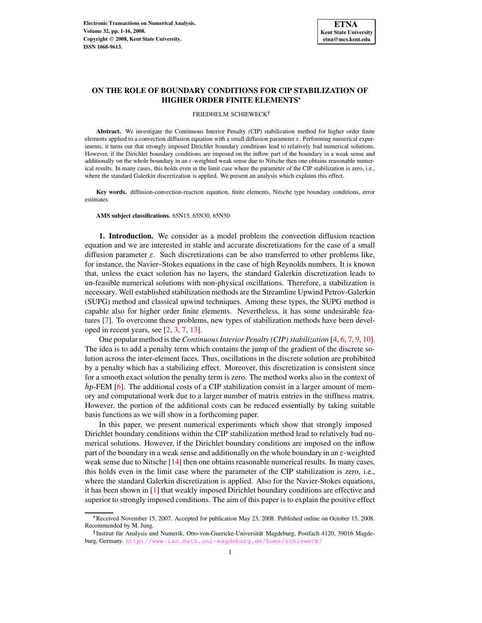# **ON THE ROLE OF BOUNDARY CONDITIONS FOR CIP STABILIZATION OF HIGHER ORDER FINITE ELEMENTS**

### FRIEDHELM SCHIEWECK

**Abstract.** We investigate the Continuous Interior Penalty (CIP) stabilization method for higher order finite elements applied to a convection diffusion equation with a small diffusion parameter  $\varepsilon$ . Performing numerical experiments, it turns out that strongly imposed Dirichlet boundary conditions lead to relatively bad numerical solutions. However, if the Dirichlet boundary conditions are imposed on the inflow part of the boundary in a weak sense and additionally on the whole boundary in an  $\varepsilon$ -weighted weak sense due to Nitsche then one obtains reasonable numerical results. In many cases, this holds even in the limit case where the parameter of the CIP stabilization is zero, i.e., where the standard Galerkin discretization is applied. We present an analysis which explains this effect.

**Key words.** diffusion-convection-reaction equation, finite elements, Nitsche type boundary conditions, error estimates

**AMS subject classifications.** 65N15, 65N30, 65N50

**1. Introduction.** We consider as a model problem the convection diffusion reaction equation and we are interested in stable and accurate discretizations for the case of a small diffusion parameter  $\varepsilon$ . Such discretizations can be also transferred to other problems like, for instance, the Navier–Stokes equations in the case of high Reynolds numbers. It is known that, unless the exact solution has no layers, the standard Galerkin discretization leads to un-feasible numerical solutions with non-physical oscillations. Therefore, a stabilization is necessary. Well established stabilization methods are the Streamline Upwind Petrov-Galerkin (SUPG) method and classical upwind techniques. Among these types, the SUPG method is capable also for higher order finite elements. Nevertheless, it has some undesirable features [\[7\]](#page-14-0). To overcome these problems, new types of stabilization methods have been developed in recent years, see [\[2,](#page-14-1) [3,](#page-14-2) [7,](#page-14-0) [13\]](#page-15-0).

One popular method is the *ContinuousInterior Penalty (CIP) stabilization* [\[4,](#page-14-3) [6,](#page-14-4) [7,](#page-14-0) [9,](#page-15-1) [10\]](#page-15-2). The idea is to add a penalty term which contains the jump of the gradient of the discrete solution across the inter-element faces. Thus, oscillations in the discrete solution are prohibited by a penalty which has a stabilizing effect. Moreover, this discretization is consistent since for a smooth exact solution the penalty term is zero. The method works also in the context of  $hp$ -FEM [\[6\]](#page-14-4). The additional costs of a CIP stabilization consist in a larger amount of memory and computational work due to a larger number of matrix entries in the stiffness matrix. However, the portion of the additional costs can be reduced essentially by taking suitable basis functions as we will show in a forthcoming paper.

In this paper, we present numerical experiments which show that strongly imposed Dirichlet boundary conditions within the CIP stabilization method lead to relatively bad numerical solutions. However, if the Dirichlet boundary conditions are imposed on the inflow part of the boundary in a weak sense and additionally on the whole boundary in an  $\varepsilon$ -weighted weak sense due to Nitsche [\[14\]](#page-15-3) then one obtains reasonable numerical results. In many cases, this holds even in the limit case where the parameter of the CIP stabilization is zero, i.e., where the standard Galerkin discretization is applied. Also for the Navier-Stokes equations, it has been shown in [\[1\]](#page-14-5) that weakly imposed Dirichlet boundary conditions are effective and superior to strongly imposed conditions. The aim of this paper is to explain the positive effect

Received November 15, 2007. Accepted for publication May 23, 2008. Published online on October 15, 2008. Recommended by M. Jung.

<sup>&</sup>lt;sup>†</sup> Institut für Analysis und Numerik, Otto-von-Guericke-Universität Magdeburg, Postfach 4120, 39016 Magdeburg, Germany. <http://www-ian.math.uni-magdeburg.de/home/schieweck/>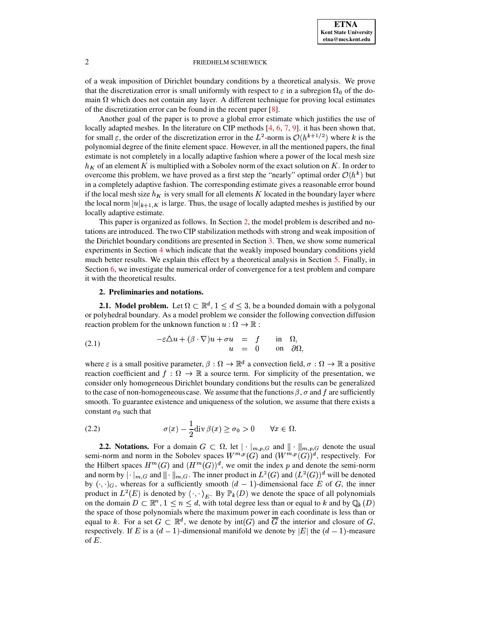of a weak imposition of Dirichlet boundary conditions by a theoretical analysis. We prove that the discretization error is small uniformly with respect to  $\varepsilon$  in a subregion  $\Omega_0$  of the domain  $\Omega$  which does not contain any layer. A different technique for proving local estimates of the discretization error can be found in the recent paper [\[8\]](#page-14-6).

Another goal of the paper is to prove a global error estimate which justifies the use of locally adapted meshes. In the literature on CIP methods  $[4, 6, 7, 9]$  $[4, 6, 7, 9]$  $[4, 6, 7, 9]$  $[4, 6, 7, 9]$  $[4, 6, 7, 9]$  $[4, 6, 7, 9]$  $[4, 6, 7, 9]$ . it has been shown that, for small  $\varepsilon$ , the order of the discretization error in the  $L^2$ -norm is  $\mathcal{O}(h^{k+1/2})$  where k is the polynomial degree of the finite element space. However, in all the mentioned papers, the final estimate is not completely in a locally adaptive fashion where a power of the local mesh size  $h_K$  of an element K is multiplied with a Sobolev norm of the exact solution on K. In order to overcome this problem, we have proved as a first step the "nearly" optimal order  $O(h^k)$  but in a completely adaptive fashion. The corresponding estimate gives a reasonable error bound if the local mesh size  $h_K$  is very small for all elements K located in the boundary layer where the local norm  $|u|_{k+1,K}$  is large. Thus, the usage of locally adapted meshes is justified by our locally adaptive estimate.

This paper is organized as follows. In Section [2,](#page-1-0) the model problem is described and notations are introduced. The two CIP stabilization methods with strong and weak imposition of the Dirichlet boundary conditions are presented in Section [3.](#page-2-0) Then, we show some numerical experiments in Section [4](#page-4-0) which indicate that the weakly imposed boundary conditions yield much better results. We explain this effect by a theoretical analysis in Section [5.](#page-6-0) Finally, in Section [6,](#page-13-0) we investigate the numerical order of convergence for a test problem and compare it with the theoretical results.

# <span id="page-1-1"></span>**2. Preliminaries and notations.**

<span id="page-1-0"></span>**2.1. Model problem.** Let  $\Omega \subset \mathbb{R}^d$ ,  $1 \leq d \leq 3$ , be a bounded domain with a polygonal or polyhedral boundary. As a model problem we consider the following convection diffusion reaction problem for the unknown function  $u : \Omega \to \mathbb{R}$ :

(2.1) 
$$
-\varepsilon \Delta u + (\beta \cdot \nabla)u + \sigma u = f \text{ in } \Omega,
$$

$$
u = 0 \text{ on } \partial \Omega,
$$

where  $\varepsilon$  is a small positive parameter,  $\beta:\Omega\to\mathbb{R}^d$  a convection field,  $\sigma:\Omega\to\mathbb{R}$  a positive reaction coefficient and  $f:\Omega\to\mathbb{R}$  a source term. For simplicity of the presentation, we consider only homogeneous Dirichlet boundary conditions but the results can be generalized to the case of non-homogeneous case. We assume that the functions  $\beta$ ,  $\sigma$  and f are sufficiently smooth. To guarantee existence and uniqueness of the solution, we assume that there exists a constant  $\sigma_0$  such that

<span id="page-1-2"></span>(2.2) 
$$
\sigma(x) - \frac{1}{2} \operatorname{div} \beta(x) \ge \sigma_0 > 0 \quad \forall x \in \Omega.
$$

**2.2. Notations.** For a domain  $G \subset \Omega$ , let  $\|\cdot\|_{m,p,G}$  and  $\|\cdot\|_{m,p,G}$  denote the usual semi-norm and norm in the Sobolev spaces  $W^{m,p}(G)$  and  $(W^{m,p}(G))^d$ , respectively. For the Hilbert spaces  $H^m(G)$  and  $(H^m(G))^d$ , we omit the index p and denote the semi-norm and norm by  $|\cdot|_{m,G}$  and  $||\cdot||_{m,G}$ . The inner product in  $L^2(G)$  and  $(L^2(G))^d$  will be denoted by  $(\cdot, \cdot)_G$ , whereas for a sufficiently smooth  $(d-1)$ -dimensional face E of G, the inner product in  $L^2(E)$  is denoted by  $\langle \cdot, \cdot \rangle_E$ . By  $\mathbb{P}_k(D)$  we denote the space of all polynomials on the domain  $D \subset \mathbb{R}^n$ ,  $1 \le n \le d$ , with total degree less than or equal to k and by  $\mathbb{Q}_k(D)$ the space of those polynomials where the maximum power in each coordinate is less than or equal to k. For a set  $G \subset \mathbb{R}^d$ , we denote by  $\text{int}(G)$  and  $\overline{G}$  the interior and closure of G, respectively. If E is a  $(d-1)$ -dimensional manifold we denote by  $|E|$  the  $(d-1)$ -measure of  $E$ .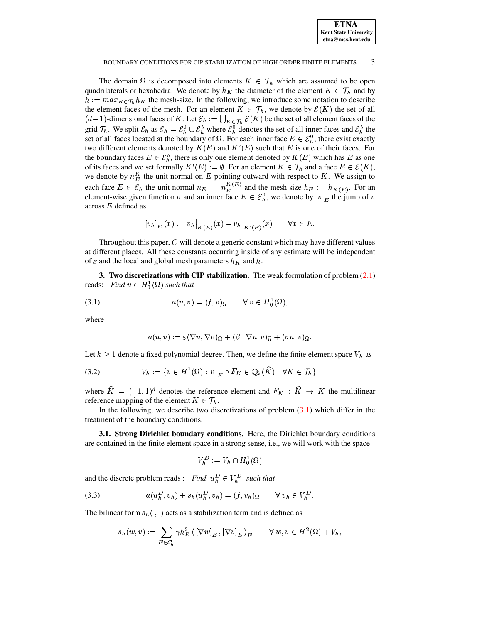

### BOUNDARY CONDITIONS FOR CIP STABILIZATION OF HIGH ORDER FINITE ELEMENTS 3

The domain  $\Omega$  is decomposed into elements  $K \in \mathcal{T}_h$  which are assumed to be open quadrilaterals or hexahedra. We denote by  $h_K$  the diameter of the element  $K \in \mathcal{T}_h$  and by  $h := max_{K \in \mathcal{T}_h} h_K$  the mesh-size. In the following, we introduce some notation to describe the element faces of the mesh. For an element  $K \in \mathcal{T}_h$ , we denote by  $\mathcal{E}(K)$  the set of all  $(d-1)$ -dimensional faces of K. Let  $\mathcal{E}_h := \bigcup_{K \in \mathcal{T}_h} \mathcal{E}(K)$  be the set of all element faces of the grid  $\mathcal{T}_h$ . We split  $\mathcal{E}_h$  as  $\mathcal{E}_h = \mathcal{E}_h^0 \cup \mathcal{E}_h^k$  where  $\mathcal{E}_h^0$  denotes the set of all inner faces and  $\mathcal{E}_h^k$  the set of all faces located at the boundary of  $\Omega$ . For each inner face  $E \in \mathcal{E}_h^0$ , there exist exactly two different elements denoted by  $K(E)$  and  $K'(E)$  such that E is one of their faces. For the boundary faces  $E \in \mathcal{E}_h^b$ , there is only one element denoted by  $K(E)$  which has  $E$  as one of its faces and we set formally  $K'(E) := \emptyset$ . For an element  $K \in \mathcal{T}_h$  and a face  $E \in \mathcal{E}(K)$ , we denote by  $n_E^K$  the unit normal on E pointing outward with respect to K. We assign to each face  $E \in \mathcal{E}_h$  the unit normal  $n_E := n_E^{K(E)}$  and the mesh size  $h_E := h_{K(E)}$ . For an element-wise given function v and an inner face  $E \in \mathcal{E}_b^0$ , we denote by  $[v]_E$  the jump of v across  $E$  defined as

$$
[v_h]_E(x) := v_h|_{K(E)}(x) - v_h|_{K'(E)}(x) \qquad \forall x \in E.
$$

Throughout this paper,  $C$  will denote a generic constant which may have different values at different places. All these constants occurring inside of any estimate will be independent of  $\varepsilon$  and the local and global mesh parameters  $h_K$  and  $h$ .

<span id="page-2-0"></span>**3. Two discretizations with CIP stabilization.** The weak formulation of problem [\(2.1\)](#page-1-1) reads: *Find*  $u \in H_0^1(\Omega)$  *such that* 

$$
(3.1) \t a(u,v) = (f,v)_{\Omega} \t \forall v \in H_0^1(\Omega),
$$

where

<span id="page-2-1"></span>
$$
a(u,v):=\varepsilon(\nabla u,\nabla v)_\Omega+(\beta\cdot\nabla u,v)_\Omega+(\sigma u,v)_\Omega.
$$

Let  $k \geq 1$  denote a fixed polynomial degree. Then, we define the finite element space  $V_h$  as

$$
(3.2) \tV_h := \{ v \in H^1(\Omega) : v \big|_K \circ F_K \in \mathbb{Q}_k(\widehat{K}) \quad \forall K \in \mathcal{T}_h \},
$$

where  $K = (-1, 1)^d$  denotes the reference element and  $F_K : K \to K$  the multilinear reference mapping of the element  $K \in \mathcal{T}_h$ .

In the following, we describe two discretizations of problem  $(3.1)$  which differ in the treatment of the boundary conditions.

**3.1. Strong Dirichlet boundary conditions.** Here, the Dirichlet boundary conditions are contained in the finite element space in a strong sense, i.e., we will work with the space

<span id="page-2-3"></span><span id="page-2-2"></span>
$$
V_h^D := V_h \cap H_0^1(\Omega)
$$

and the discrete problem reads : *Find*  $u_h^D \in V_h^D$  *such that* 

(3.3) 
$$
a(u_h^D, v_h) + s_h(u_h^D, v_h) = (f, v_h)_{\Omega} \qquad \forall v_h \in V_h^D.
$$

The bilinear form  $s_h(\cdot, \cdot)$  acts as a stabilization term and is defined as

$$
s_h(w,v) := \sum_{E \in \mathcal{E}_h^0} \gamma h_E^2 \left\langle \left[\nabla w\right]_E, \left[\nabla v\right]_E \right\rangle_E \qquad \forall w, v \in H^2(\Omega) + V_h,
$$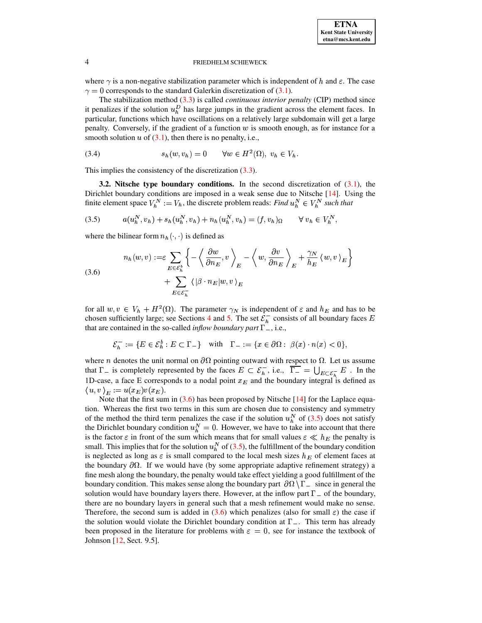<span id="page-3-1"></span>

where  $\gamma$  is a non-negative stabilization parameter which is independent of h and  $\varepsilon$ . The case  $\gamma = 0$  corresponds to the standard Galerkin discretization of (3.1).

The stabilization method  $(3.3)$  is called *continuous interior penalty* (CIP) method since it penalizes if the solution  $u_h^D$  has large jumps in the gradient across the element faces. In particular, functions which have oscillations on a relatively large subdomain will get a large penalty. Conversely, if the gradient of a function  $w$  is smooth enough, as for instance for a smooth solution  $u$  of (3.1), then there is no penalty, i.e.,

<span id="page-3-2"></span>
$$
(3.4) \t\t s_h(w, v_h) = 0 \t\forall w \in H^2(\Omega), \ v_h \in V_h.
$$

This implies the consistency of the discretization  $(3.3)$ .

3.2. Nitsche type boundary conditions. In the second discretization of  $(3.1)$ , the Dirichlet boundary conditions are imposed in a weak sense due to Nitsche  $[14]$ . Using the finite element space  $V_h^N := V_h$ , the discrete problem reads: Find  $u_h^N \in V_h^N$  such that

(3.5) 
$$
a(u_h^N, v_h) + s_h(u_h^N, v_h) + n_h(u_h^N, v_h) = (f, v_h)_{\Omega} \quad \forall v_h \in V_h^N,
$$

<span id="page-3-0"></span>where the bilinear form  $n_h(\cdot, \cdot)$  is defined as

(3.6)  

$$
n_h(w, v) := \varepsilon \sum_{E \in \mathcal{E}_h^b} \left\{ -\left\langle \frac{\partial w}{\partial n_E}, v \right\rangle_E - \left\langle w, \frac{\partial v}{\partial n_E} \right\rangle_E + \frac{\gamma_N}{h_E} \left\langle w, v \right\rangle_E \right\} + \sum_{E \in \mathcal{E}_h^-} \left\langle \left| \beta \cdot n_E \right| w, v \right\rangle_E
$$

for all  $w, v \in V_h + H^2(\Omega)$ . The parameter  $\gamma_N$  is independent of  $\varepsilon$  and  $h_E$  and has to be chosen sufficiently large; see Sections 4 and 5. The set  $\mathcal{E}_h^-$  consists of all boundary faces E that are contained in the so-called *inflow boundary part*  $\Gamma$  –, i.e.,

$$
\mathcal{E}_h^- := \{ E \in \mathcal{E}_h^b : E \subset \Gamma_- \} \quad \text{with} \quad \Gamma_- := \{ x \in \partial \Omega : \ \beta(x) \cdot n(x) < 0 \},
$$

where *n* denotes the unit normal on  $\partial\Omega$  pointing outward with respect to  $\Omega$ . Let us assume that  $\Gamma_{-}$  is completely represented by the faces  $E \subset \mathcal{E}_{h}^{-}$ , i.e.,  $\overline{\Gamma_{-}} = \bigcup_{E \subset \mathcal{E}_{-}} E$ . In the 1D-case, a face E corresponds to a nodal point  $x_E$  and the boundary integral is defined as  $\langle u, v \rangle_F := u(x_E)v(x_E).$ 

Note that the first sum in  $(3.6)$  has been proposed by Nitsche [14] for the Laplace equation. Whereas the first two terms in this sum are chosen due to consistency and symmetry of the method the third term penalizes the case if the solution  $u_h^N$  of (3.5) does not satisfy the Dirichlet boundary condition  $u_h^N = 0$ . However, we have to take into account that there is the factor  $\varepsilon$  in front of the sum which means that for small values  $\varepsilon \ll h_E$  the penalty is small. This implies that for the solution  $u_h^N$  of (3.5), the fulfillment of the boundary condition is neglected as long as  $\varepsilon$  is small compared to the local mesh sizes  $h_E$  of element faces at the boundary  $\partial\Omega$ . If we would have (by some appropriate adaptive refinement strategy) a fine mesh along the boundary, the penalty would take effect yielding a good fulfillment of the boundary condition. This makes sense along the boundary part  $\partial\Omega \setminus \Gamma_{-}$  since in general the solution would have boundary layers there. However, at the inflow part  $\Gamma_{-}$  of the boundary, there are no boundary layers in general such that a mesh refinement would make no sense. Therefore, the second sum is added in (3.6) which penalizes (also for small  $\varepsilon$ ) the case if the solution would violate the Dirichlet boundary condition at  $\Gamma_{-}$ . This term has already been proposed in the literature for problems with  $\varepsilon = 0$ , see for instance the textbook of Johnson [12, Sect. 9.5].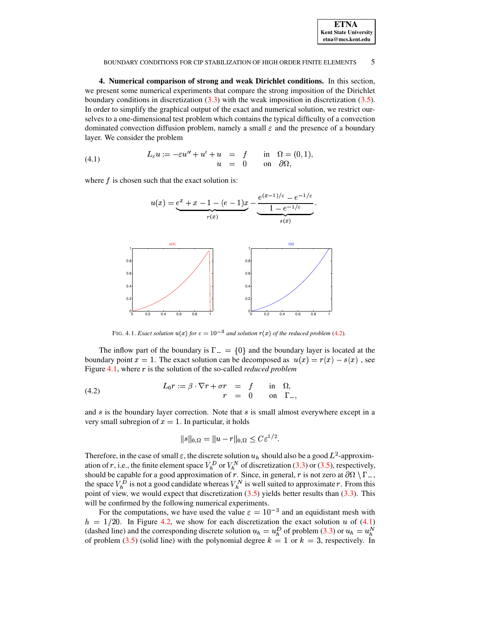| <b>ETNA</b>                  |
|------------------------------|
| <b>Kent State University</b> |
| etna@mcs.kent.edu            |

#### BOUNDARY CONDITIONS FOR CIP STABILIZATION OF HIGH ORDER FINITE ELEMENTS  $\overline{5}$

<span id="page-4-0"></span>4. Numerical comparison of strong and weak Dirichlet conditions. In this section, we present some numerical experiments that compare the strong imposition of the Dirichlet boundary conditions in discretization  $(3.3)$  with the weak imposition in discretization  $(3.5)$ . In order to simplify the graphical output of the exact and numerical solution, we restrict ourselves to a one-dimensional test problem which contains the typical difficulty of a convection dominated convection diffusion problem, namely a small  $\varepsilon$  and the presence of a boundary layer. We consider the problem

<span id="page-4-3"></span>(4.1) 
$$
L_{\varepsilon}u := -\varepsilon u'' + u' + u = f \quad \text{in} \quad \Omega = (0,1)
$$

$$
u = 0 \quad \text{on} \quad \partial\Omega,
$$

where  $f$  is chosen such that the exact solution is:

$$
u(x) = \underbrace{e^x + x - 1 - (e - 1)x}_{r(x)} - \underbrace{\underbrace{e^{(x-1)/\varepsilon} - e^{-1/\varepsilon}}_{1 - e^{-1/\varepsilon}}}_{s(x)}
$$



FIG. 4.1. Exact solution  $u(x)$  for  $\varepsilon = 10^{-3}$  and solution  $r(x)$  of the reduced problem (4.2).

<span id="page-4-2"></span>The inflow part of the boundary is  $\Gamma = \{0\}$  and the boundary layer is located at the boundary point  $x = 1$ . The exact solution can be decomposed as  $u(x) = r(x) - s(x)$ , see Figure 4.1, where r is the solution of the so-called *reduced problem* 

(4.2) 
$$
L_0 r := \beta \cdot \nabla r + \sigma r = f \quad \text{in} \quad \Omega,
$$

$$
r = 0 \quad \text{on} \quad \Gamma_-
$$

and  $s$  is the boundary layer correction. Note that  $s$  is small almost everywhere except in a very small subregion of  $x = 1$ . In particular, it holds

<span id="page-4-1"></span>
$$
\|s\|_{0,\Omega}=\|u-r\|_{0,\Omega}\leq C\varepsilon^{1/2}.
$$

Therefore, in the case of small  $\varepsilon$ , the discrete solution  $u_h$  should also be a good  $L^2$ -approximation of r, i.e., the finite element space  $V_h^D$  or  $V_h^N$  of discretization (3.3) or (3.5), respectively,<br>should be capable for a good approximation of r. Since, in general, r is not zero at  $\partial\Omega \setminus \Gamma_{-}$ ,<br>the space  $V$ point of view, we would expect that discretization  $(3.5)$  yields better results than  $(3.3)$ . This will be confirmed by the following numerical experiments.

For the computations, we have used the value  $\varepsilon = 10^{-3}$  and an equidistant mesh with  $h = 1/20$ . In Figure 4.2, we show for each discretization the exact solution u of (4.1) (dashed line) and the corresponding discrete solution  $u_h = u_h^D$  of problem (3.3) or  $u_h = u_h^N$ of problem (3.5) (solid line) with the polynomial degree  $k = 1$  or  $k = 3$ , respectively. In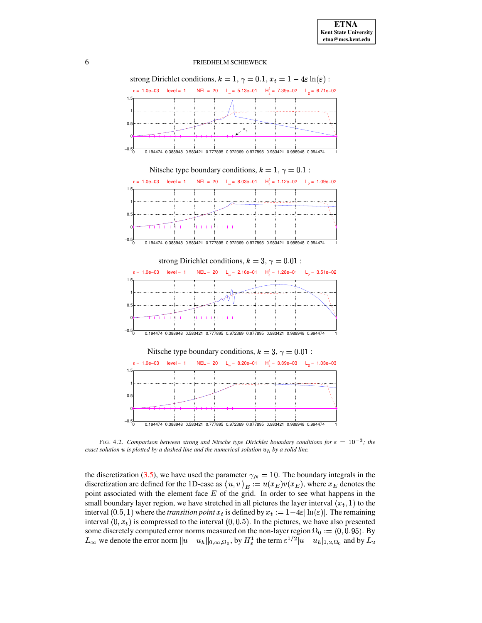

<span id="page-5-0"></span>FIG. 4.2. *Comparison between strong and Nitsche type Dirichlet boundary conditions for*  $\varepsilon = 10^{-3}$ ; *the exact solution*  $u$  *is plotted by a dashed line and the numerical solution*  $u<sub>h</sub>$  *by a solid line.* 

the discretization [\(3.5\)](#page-3-1), we have used the parameter  $\gamma_N = 10$ . The boundary integrals in the discretization are defined for the 1D-case as  $\langle u, v \rangle_E := u(x_E)v(x_E)$ , where  $x_E$  denotes the point associated with the element face  $E$  of the grid. In order to see what happens in the small boundary layer region, we have stretched in all pictures the layer interval  $(x_t, 1)$  to the interval  $(0.5, 1)$  where the *transition point*  $x_t$  is defined by  $x_t := 1-4\varepsilon |\ln(\varepsilon)|$ . The remaining interval  $(0, x_t)$  is compressed to the interval  $(0, 0.5)$ . In the pictures, we have also presented some discretely computed error norms measured on the non-layer region  $\Omega_0 := (0, 0.95)$ . By  $L_{\infty}$  we denote the error norm  $||u - u_h||_{0,\infty,\Omega_0}$ , by  $H_{\varepsilon}^1$  the term  $\varepsilon^{1/2}|u - u_h|_{1,2,\Omega_0}$  and by  $L_2$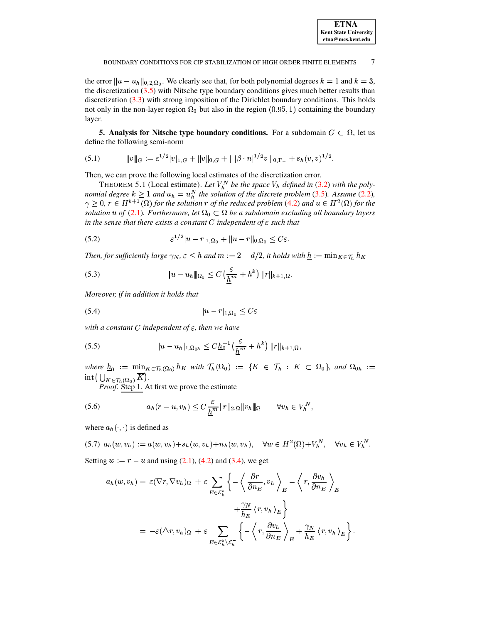the error  $||u - u_h||_{0,2,\Omega_0}$ . We clearly see that, for both polynomial degrees  $k = 1$  and  $k = 3$ , the discretization  $(3.5)$  with Nitsche type boundary conditions gives much better results than discretization  $(3.3)$  with strong imposition of the Dirichlet boundary conditions. This holds not only in the non-layer region  $\Omega_0$  but also in the region (0.95, 1) containing the boundary layer.

<span id="page-6-3"></span><span id="page-6-0"></span>**5. Analysis for Nitsche type boundary conditions.** For a subdomain  $G \subset \Omega$ , let us define the following semi-norm

$$
(5.1) \t\t\t ||v||_G := \varepsilon^{1/2} |v|_{1,G} + ||v||_{0,G} + ||\beta \cdot n|^{1/2} v||_{0,\Gamma_-} + s_h(v,v)^{1/2}.
$$

<span id="page-6-8"></span>Then, we can prove the following local estimates of the discretization error.

THEOREM 5.1 (Local estimate). Let  $V_h^N$  be the space  $V_h$  defined in (3.2) with the polynomial degree  $k \ge 1$  and  $u_h = u_h^N$  the solution of the discrete problem (3.5). Assume (2.2),  $\gamma \ge 0$ ,  $r \in H^{k+1}(\Omega)$  for the solut solution u of (2.1). Furthermore, let  $\Omega_0 \subset \Omega$  be a subdomain excluding all boundary layers in the sense that there exists a constant C independent of  $\varepsilon$  such that

<span id="page-6-4"></span>(5.2) 
$$
\varepsilon^{1/2} |u - r|_{1, \Omega_0} + ||u - r||_{0, \Omega_0} \leq C \varepsilon.
$$

<span id="page-6-5"></span>Then, for sufficiently large  $\gamma_N$ ,  $\varepsilon \leq h$  and  $m := 2 - d/2$ , it holds with  $\underline{h} := \min_{K \in \mathcal{T}_h} h_K$ 

(5.3) 
$$
\|u - u_h\|_{\Omega_0} \leq C\left(\frac{\varepsilon}{\underline{h}^m} + h^k\right) \|r\|_{k+1,\Omega}.
$$

<span id="page-6-7"></span>Moreover, if in addition it holds that

$$
(5.4) \t\t\t |u-r|_{1,\Omega_0} \leq C\epsilon
$$

<span id="page-6-6"></span>with a constant C independent of  $\varepsilon$ , then we have

(5.5) 
$$
|u - u_h|_{1, \Omega_{0h}} \leq C \underline{h}_0^{-1} \left( \frac{\varepsilon}{\underline{h}^m} + h^k \right) ||r||_{k+1, \Omega},
$$

where  $\underline{h}_0 := \min_{K \in \mathcal{T}_h(\Omega_0)} h_K$  with  $\mathcal{T}_h(\Omega_0) := \{ K \in \mathcal{T}_h : K \subset \Omega_0 \}$ , and  $\Omega_{0h} :=$ int $\left(\bigcup_{K\in\mathcal{T}_h(\Omega_0)}\overline{K}\right)$ .<br>*Proof.* Step 1. At first we prove the estimate

<span id="page-6-1"></span>

(5.6) 
$$
a_h(r - u, v_h) \leq C \frac{\varepsilon}{\underline{h}^m} ||r||_{2,\Omega} ||v_h||_{\Omega} \qquad \forall v_h \in V_h^N,
$$

<span id="page-6-2"></span>where  $a_h(\cdot, \cdot)$  is defined as

(5.7)  $a_h(w, v_h) := a(w, v_h) + s_h(w, v_h) + n_h(w, v_h), \quad \forall w \in H^2(\Omega) + V_h^N, \quad \forall v_h \in V_h^N.$ 

Setting  $w := r - u$  and using (2.1), (4.2) and (3.4), we get

$$
a_h(w, v_h) = \varepsilon (\nabla r, \nabla v_h)_{\Omega} + \varepsilon \sum_{E \in \mathcal{E}_h^b} \left\{ -\left\langle \frac{\partial r}{\partial n_E}, v_h \right\rangle_E - \left\langle r, \frac{\partial v_h}{\partial n_E} \right\rangle_E \right\}
$$

$$
+ \frac{\gamma_N}{h_E} \left\langle r, v_h \right\rangle_E \right\}
$$

$$
= -\varepsilon (\Delta r, v_h)_{\Omega} + \varepsilon \sum_{E \in \mathcal{E}_h^b \backslash \mathcal{E}_h^-} \left\{ -\left\langle r, \frac{\partial v_h}{\partial n_E} \right\rangle_E + \frac{\gamma_N}{h_E} \left\langle r, v_h \right\rangle_E \right\}
$$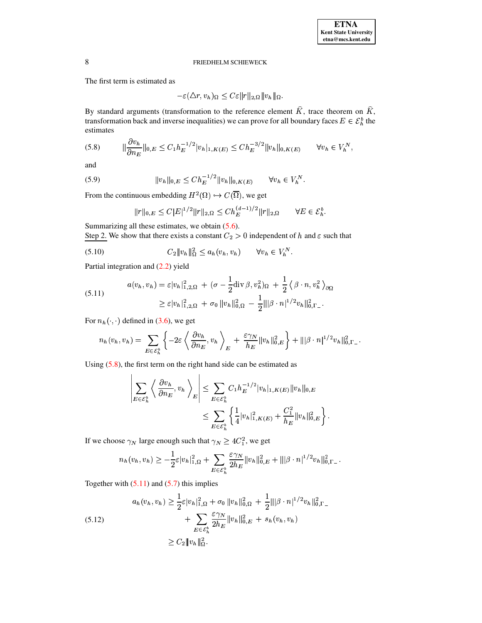The first term is estimated as

 $-\varepsilon(\Delta r, v_h)_{\Omega} \leq C\varepsilon ||r||_{2,\Omega} ||v_h||_{\Omega}.$ 

By standard arguments (transformation to the reference element  $\hat{K}$ , trace theorem on  $\hat{K}$ , transformation back and inverse inequalities) we can prove for all boundary faces  $E \in \mathcal{E}_h^b$  the estimates

<span id="page-7-0"></span>
$$
(5.8) \qquad \|\frac{\partial v_h}{\partial n_E}\|_{0,E} \le C_1 h_E^{-1/2} |v_h|_{1,K(E)} \le Ch_E^{-3/2} \|v_h\|_{0,K(E)} \qquad \forall v_h \in V_h^N,
$$

<span id="page-7-2"></span>and

(5.9) 
$$
||v_h||_{0,E} \leq Ch_E^{-1/2} ||v_h||_{0,K(E)} \qquad \forall v_h \in V_h^N.
$$

From the continuous embedding  $H^2(\Omega) \hookrightarrow C(\overline{\Omega})$ , we get

<span id="page-7-3"></span>
$$
||r||_{0,E} \leq C|E|^{1/2}||r||_{2,\Omega} \leq C h_E^{(d-1)/2}||r||_{2,\Omega} \qquad \forall E \in \mathcal{E}_h^b.
$$

Summarizing all these estimates, we obtain  $(5.6)$ .

Step 2. We show that there exists a constant  $C_2 > 0$  independent of h and  $\varepsilon$  such that

$$
(5.10) \t C_2 \|v_h\|_{\Omega}^2 \le a_h(v_h, v_h) \t \forall v_h \in V_h^N
$$

<span id="page-7-1"></span>Partial integration and (2.2) yield

(5.11) 
$$
a(v_h, v_h) = \varepsilon |v_h|_{1,2,\Omega}^2 + (\sigma - \frac{1}{2} \text{div} \,\beta, v_h^2)_{\Omega} + \frac{1}{2} \langle \beta \cdot n, v_h^2 \rangle_{\partial \Omega}
$$

$$
\geq \varepsilon |v_h|_{1,2,\Omega}^2 + \sigma_0 \|v_h\|_{0,\Omega}^2 - \frac{1}{2} \||\beta \cdot n|^{1/2} v_h\|_{0,\Gamma}^2.
$$

For  $n_h(\cdot, \cdot)$  defined in (3.6), we get

 $\mathbf{L}$ 

$$
n_h(v_h, v_h) = \sum_{E \in \mathcal{E}_h^b} \left\{-2\varepsilon \left\langle \frac{\partial v_h}{\partial n_E}, v_h \right\rangle_E + \frac{\varepsilon \gamma_N}{h_E} ||v_h||_{0,E}^2 \right\} + |||\beta \cdot n|^{1/2} v_h||_{0,\Gamma}^2.
$$

Using  $(5.8)$ , the first term on the right hand side can be estimated as

 $\mathbf{r}$ 

$$
\left| \sum_{E \in \mathcal{E}_h^b} \left\langle \frac{\partial v_h}{\partial n_E}, v_h \right\rangle_E \right| \leq \sum_{E \in \mathcal{E}_h^b} C_1 h_E^{-1/2} |v_h|_{1, K(E)} \|v_h\|_{0, E}
$$
  

$$
\leq \sum_{E \in \mathcal{E}_h^b} \left\{ \frac{1}{4} |v_h|_{1, K(E)}^2 + \frac{C_1^2}{h_E} \|v_h\|_{0, E}^2 \right\}
$$

If we choose  $\gamma_N$  large enough such that  $\gamma_N \geq 4C_1^2$ , we get

<span id="page-7-4"></span>
$$
n_h(v_h, v_h) \geq -\frac{1}{2}\varepsilon|v_h|^2_{1,\Omega} + \sum_{E \in \mathcal{E}_h^k} \frac{\varepsilon \gamma_N}{2h_E} \|v_h\|^2_{0,E} + \| |\beta \cdot n|^{1/2} v_h\|^2_{0,\Gamma_{-}}.
$$

Together with  $(5.11)$  and  $(5.7)$  this implies

$$
a_h(v_h, v_h) \ge \frac{1}{2} \varepsilon |v_h|_{1,\Omega}^2 + \sigma_0 \|v_h\|_{0,\Omega}^2 + \frac{1}{2} \||\beta \cdot n|^{1/2} v_h\|_{0,\Gamma}^2 + \sum_{E \in \mathcal{E}_h^b} \frac{\varepsilon \gamma_N}{2h_E} \|v_h\|_{0,E}^2 + s_h(v_h, v_h)
$$
  
 
$$
\ge C_2 \|v_h\|_{\Omega}^2.
$$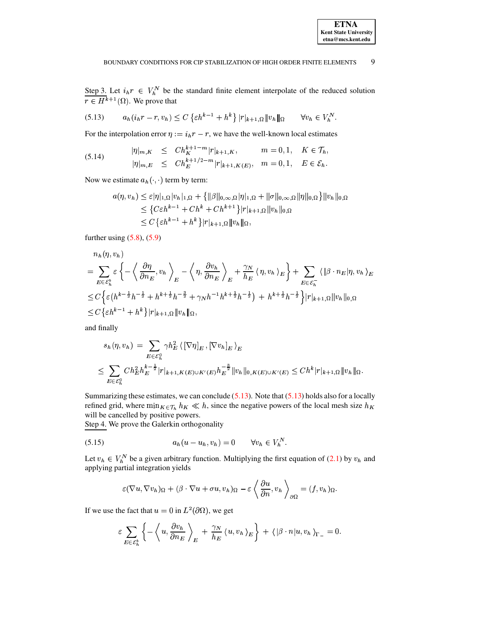<span id="page-8-0"></span>Step 3. Let  $i_h r \in V_h^N$  be the standard finite element interpolate of the reduced solution  $r \in H^{k+1}(\Omega)$ . We prove that

$$
(5.13) \t a_h(i_h r - r, v_h) \le C \left\{ \varepsilon h^{k-1} + h^k \right\} |r|_{k+1, \Omega} \|v_h\|_{\Omega} \t \forall v_h \in V_h^N.
$$

For the interpolation error  $\eta := i_h r - r$ , we have the well-known local estimates

(5.14) 
$$
|\eta|_{m,K} \leq Ch_K^{k+1-m} |r|_{k+1,K}, \qquad m = 0, 1, \quad K \in \mathcal{T}_h,
$$
  

$$
|\eta|_{m,E} \leq Ch_K^{k+1/2-m} |r|_{k+1,K(E)}, \quad m = 0, 1, \quad E \in \mathcal{E}_h.
$$

Now we estimate  $a_h(\cdot, \cdot)$  term by term:

<span id="page-8-2"></span>
$$
a(\eta, v_h) \leq \varepsilon |\eta|_{1,\Omega} |v_h|_{1,\Omega} + \{ ||\beta||_{0,\infty,\Omega} |\eta|_{1,\Omega} + ||\sigma||_{0,\infty,\Omega} ||\eta||_{0,\Omega} \} ||v_h||_{0,\Omega}
$$
  

$$
\leq \{ C\varepsilon h^{k-1} + Ch^k + Ch^{k+1} \} |r|_{k+1,\Omega} ||v_h||_{0,\Omega}
$$
  

$$
\leq C \{\varepsilon h^{k-1} + h^k \} |r|_{k+1,\Omega} ||v_h||_{\Omega},
$$

further using  $(5.8)$ ,  $(5.9)$ 

$$
n_h(\eta, v_h)
$$
  
=  $\sum_{E \in \mathcal{E}_h^k} \varepsilon \left\{ -\left\langle \frac{\partial \eta}{\partial n_E}, v_h \right\rangle_E - \left\langle \eta, \frac{\partial v_h}{\partial n_E} \right\rangle_E + \frac{\gamma_N}{h_E} \left\langle \eta, v_h \right\rangle_E \right\} + \sum_{E \in \mathcal{E}_h} \left\langle |\beta \cdot n_E| \eta, v_h \right\rangle_E$   
 $\leq C \left\{ \varepsilon \left( h^{k - \frac{1}{2}} h^{-\frac{1}{2}} + h^{k + \frac{1}{2}} h^{-\frac{3}{2}} + \gamma_N h^{-1} h^{k + \frac{1}{2}} h^{-\frac{1}{2}} \right) + h^{k + \frac{1}{2}} h^{-\frac{1}{2}} \right\} |r|_{k+1, \Omega} ||v_h||_{0, \Omega}$   
 $\leq C \left\{ \varepsilon h^{k-1} + h^k \right\} |r|_{k+1, \Omega} ||v_h||_{\Omega},$ 

and finally

$$
s_h(\eta, v_h) = \sum_{E \in \mathcal{E}_h^0} \gamma h_E^2 \left\{ \left[ \nabla \eta \right]_E, \left[ \nabla v_h \right]_E \right\}_E
$$
  

$$
\leq \sum_{E \in \mathcal{E}_h^0} C h_E^2 h_E^{k - \frac{1}{2}} |r|_{k+1, K(E) \cup K'(E)} h_E^{-\frac{3}{2}} \|v_h\|_{0, K(E) \cup K'(E)} \leq C h^k |r|_{k+1, \Omega} \|v_h\|_{\Omega}.
$$

Summarizing these estimates, we can conclude  $(5.13)$ . Note that  $(5.13)$  holds also for a locally refined grid, where  $\min_{K \in \mathcal{T}_h} h_K \ll h$ , since the negative powers of the local mesh size  $h_K$ will be cancelled by positive powers.

Step 4. We prove the Galerkin orthogonality

$$
(5.15) \t\t a_h(u - u_h, v_h) = 0 \t\t \forall v_h \in V_h^N.
$$

Let  $v_h \in V_h^N$  be a given arbitrary function. Multiplying the first equation of (2.1) by  $v_h$  and applying partial integration yields

<span id="page-8-1"></span>
$$
\varepsilon(\nabla u, \nabla v_h)_{\Omega} + (\beta \cdot \nabla u + \sigma u, v_h)_{\Omega} - \varepsilon \left\langle \frac{\partial u}{\partial n}, v_h \right\rangle_{\partial \Omega} = (f, v_h)_{\Omega}.
$$

If we use the fact that  $u = 0$  in  $L^2(\partial\Omega)$ , we get

$$
\varepsilon \sum_{E \in \mathcal{E}_h^b} \left\{ -\left\langle u, \frac{\partial v_h}{\partial n_E} \right\rangle_E + \frac{\gamma_N}{h_E} \langle u, v_h \rangle_E \right\} + \langle |\beta \cdot n| u, v_h \rangle_{\Gamma_-} = 0.
$$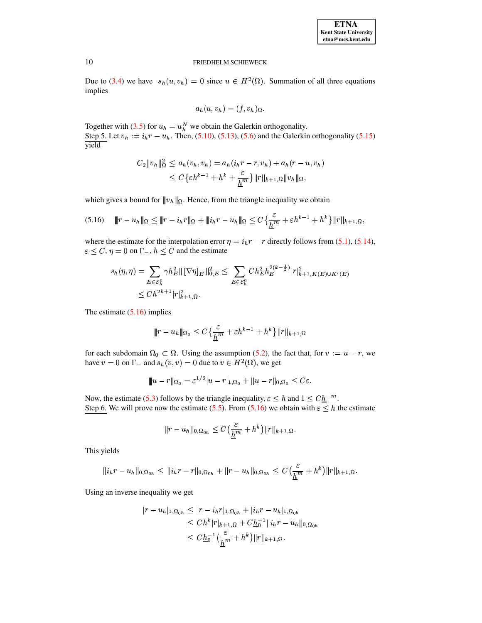| <b>ETNA</b>                  |
|------------------------------|
| <b>Kent State University</b> |
| etna@mcs.kent.edu            |

Due to (3.4) we have  $s_h(u, v_h) = 0$  since  $u \in H^2(\Omega)$ . Summation of all three equations implies

<span id="page-9-0"></span>
$$
a_h(u,v_h)=(f,v_h)_{\Omega}.
$$

Together with (3.5) for  $u_h = u_h^N$  we obtain the Galerkin orthogonality. Step 5. Let  $v_h := i_h r - u_h$ . Then, (5.10), (5.13), (5.6) and the Galerkin orthogonality (5.15) yield

$$
C_2 \|v_h\|_{\Omega}^2 \le a_h(v_h, v_h) = a_h(i_h r - r, v_h) + a_h(r - u, v_h)
$$
  
 
$$
\le C\{\varepsilon h^{k-1} + h^k + \frac{\varepsilon}{h^m}\}\|r\|_{k+1,\Omega}\|v_h\|_{\Omega},
$$

which gives a bound for  $||v_h||_{\Omega}$ . Hence, from the triangle inequality we obtain

$$
(5.16) \quad ||r - u_h||_{\Omega} \le ||r - i_h r||_{\Omega} + ||i_h r - u_h||_{\Omega} \le C \left\{ \frac{\varepsilon}{\underline{h}^m} + \varepsilon h^{k-1} + h^k \right\} ||r||_{k+1, \Omega}.
$$

where the estimate for the interpolation error  $\eta = i_h r - r$  directly follows from (5.1), (5.14),  $\varepsilon \leq C, \eta = 0$  on  $\Gamma_-, h \leq C$  and the estimate

$$
s_h(\eta, \eta) = \sum_{E \in \mathcal{E}_h^0} \gamma h_E^2 \|\left[\nabla \eta\right]_E\|_{0,E}^2 \le \sum_{E \in \mathcal{E}_h^0} C h_E^2 h_E^{2(k - \frac{1}{2})} |r|_{k+1, K(E) \cup K'(E)}^2
$$
  

$$
\le C h^{2k+1} |r|_{k+1, \Omega}^2.
$$

The estimate  $(5.16)$  implies

$$
\|r - u_h\|_{\Omega_0} \le C \left\{ \frac{\varepsilon}{\underline{h}^m} + \varepsilon h^{k-1} + h^k \right\} \|r\|_{k+1, \Omega}
$$

for each subdomain  $\Omega_0 \subset \Omega$ . Using the assumption (5.2), the fact that, for  $v := u - r$ , we have  $v = 0$  on  $\Gamma$  and  $s_h(v, v) = 0$  due to  $v \in H^2(\Omega)$ , we get

$$
||u - r||_{\Omega_0} = \varepsilon^{1/2} |u - r|_{1, \Omega_0} + ||u - r||_{0, \Omega_0} \leq C\varepsilon
$$

Now, the estimate (5.3) follows by the triangle inequality,  $\varepsilon \leq h$  and  $1 \leq C \underline{h}^{-m}$ . Step 6. We will prove now the estimate (5.5). From (5.16) we obtain with  $\varepsilon \leq h$  the estimate

$$
||r-u_h||_{0,\Omega_{0h}} \leq C\left(\frac{\varepsilon}{\underline{h}^m}+h^k\right)||r||_{k+1,\Omega}.
$$

This yields

$$
||i_hr - u_h||_{0,\Omega_{0h}} \leq ||i_hr - r||_{0,\Omega_{0h}} + ||r - u_h||_{0,\Omega_{0h}} \leq C\left(\frac{\varepsilon}{\underline{h}^m} + h^k\right)||r||_{k+1,\Omega}.
$$

Using an inverse inequality we get

$$
|r - u_h|_{1,\Omega_{0h}} \le |r - i_h r|_{1,\Omega_{0h}} + |i_h r - u_h|_{1,\Omega_{0h}}
$$
  
\n
$$
\le Ch^k |r|_{k+1,\Omega} + Ch_0^{-1} ||i_h r - u_h||_{0,\Omega_{0h}}
$$
  
\n
$$
\le Ch_0^{-1} \left(\frac{\varepsilon}{h^m} + h^k\right) ||r||_{k+1,\Omega}.
$$

10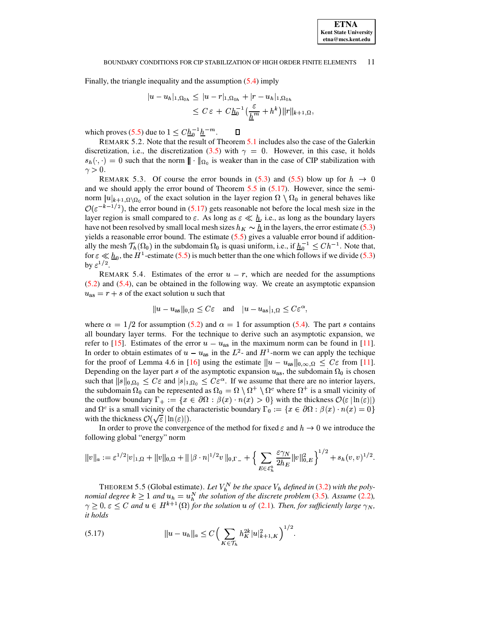#### BOUNDARY CONDITIONS FOR CIP STABILIZATION OF HIGH ORDER FINITE ELEMENTS 11

Finally, the triangle inequality and the assumption  $(5.4)$  imply

$$
|u - u_h|_{1, \Omega_{0h}} \le |u - r|_{1, \Omega_{0h}} + |r - u_h|_{1, \Omega_{0h}}
$$
  

$$
\le C \varepsilon + C\underline{h}_0^{-1} \left( \frac{\varepsilon}{\underline{h}^m} + h^k \right) ||r||_{k+1, \Omega},
$$

which proves (5.5) due to  $1 \leq C \underline{h}_0^{-1} \underline{h}^{-m}$ .

REMARK 5.2. Note that the result of Theorem 5.1 includes also the case of the Galerkin discretization, i.e., the discretization (3.5) with  $\gamma = 0$ . However, in this case, it holds  $s_h(\cdot, \cdot) = 0$  such that the norm  $\| \cdot \|_{\Omega_0}$  is weaker than in the case of CIP stabilization with  $\gamma > 0$ .

 $\Box$ 

REMARK 5.3. Of course the error bounds in (5.3) and (5.5) blow up for  $h \to 0$ and we should apply the error bound of Theorem  $5.5$  in  $(5.17)$ . However, since the seminorm  $|u|_{k+1,\Omega\setminus\Omega_0}$  of the exact solution in the layer region  $\Omega\setminus\Omega_0$  in general behaves like  $\mathcal{O}(\varepsilon^{-k-1/2})$ , the error bound in (5.17) gets reasonable not before the local mesh size in the layer region is small compared to  $\varepsilon$ . As long as  $\varepsilon \ll \underline{h}$ , i.e., as long as the boundary layers have not been resolved by small local mesh sizes  $h_K \sim \underline{h}$  in the layers, the error estimate (5.3) yields a reasonable error bound. The estimate  $(5.5)$  gives a valuable error bound if additionally the mesh  $\mathcal{T}_h(\Omega_0)$  in the subdomain  $\Omega_0$  is quasi uniform, i.e., if  $\underline{h}_0^{-1} \leq Ch^{-1}$ . Note that, for  $\varepsilon \ll \underline{h}_0$ , the  $H^1$ -estimate (5.5) is much better than the one which follows if we divide (5.3) by  $\varepsilon^{1/2}$ .

REMARK 5.4. Estimates of the error  $u - r$ , which are needed for the assumptions  $(5.2)$  and  $(5.4)$ , can be obtained in the following way. We create an asymptotic expansion  $u_{\text{as}} = r + s$  of the exact solution u such that

$$
||u - u_{as}||_{0,\Omega} \leq C\varepsilon
$$
 and  $|u - u_{as}|_{1,\Omega} \leq C\varepsilon^{\alpha}$ ,

where  $\alpha = 1/2$  for assumption (5.2) and  $\alpha = 1$  for assumption (5.4). The part s contains all boundary layer terms. For the technique to derive such an asymptotic expansion, we refer to [15]. Estimates of the error  $u - u_{\text{as}}$  in the maximum norm can be found in [11]. In order to obtain estimates of  $u - u_{\text{as}}$  in the  $L^2$ - and  $H^1$ -norm we can apply the techique for the proof of Lemma 4.6 in [16] using the estimate  $||u - u_{as}||_{0,\infty,\Omega} \leq C \varepsilon$  from [11]. Depending on the layer part s of the asymptotic expansion  $u_{\text{as}}$ , the subdomain  $\Omega_0$  is chosen such that  $||s||_{0,\Omega_0} \leq C\varepsilon$  and  $|s|_{1,\Omega_0} \leq C\varepsilon^{\alpha}$ . If we assume that there are no interior layers, the subdomain  $\Omega_0$  can be represented as  $\Omega_0 = \Omega \setminus \Omega^+ \setminus \Omega^c$  where  $\Omega^+$  is a small vicinity of the outflow boundary  $\Gamma_+ := \{x \in \partial\Omega : \beta(x) \cdot n(x) > 0\}$  with the thickness  $\mathcal{O}(\varepsilon |\ln(\varepsilon)|)$ and  $\Omega^c$  is a small vicinity of the characteristic boundary  $\Gamma_0 := \{x \in \partial \Omega : \beta(x) \cdot n(x) = 0\}$ with the thickness  $\mathcal{O}(\sqrt{\varepsilon}|\ln(\varepsilon)|)$ .

In order to prove the convergence of the method for fixed  $\varepsilon$  and  $h \to 0$  we introduce the following global "energy" norm

$$
||v||_a := \varepsilon^{1/2} |v|_{1,\Omega} + ||v||_{0,\Omega} + ||\beta \cdot n|^{1/2} v ||_{0,\Gamma_-} + \Big\{ \sum_{E \in \mathcal{E}_h^b} \frac{\varepsilon \gamma_N}{2h_E} ||v||_{0,E}^2 \Big\}^{1/2} + s_h(v,v)^{1/2}.
$$

<span id="page-10-0"></span>THEOREM 5.5 (Global estimate). Let  $V_h^N$  be the space  $V_h$  defined in (3.2) with the polynomial degree  $k \ge 1$  and  $u_h = u_h^N$  the solution of the discrete problem (3.5). Assume (2.2),  $\gamma \geq 0$ ,  $\varepsilon \leq C$  and  $u \in H^{k+1}(\Omega)$  for the solution u of (2.1). Then, for sufficiently large  $\gamma_N$ , it holds

<span id="page-10-1"></span>(5.17) 
$$
||u - u_h||_a \leq C \left( \sum_{K \in \mathcal{T}_h} h_K^{2k} |u|_{k+1,K}^2 \right)^{1/2}.
$$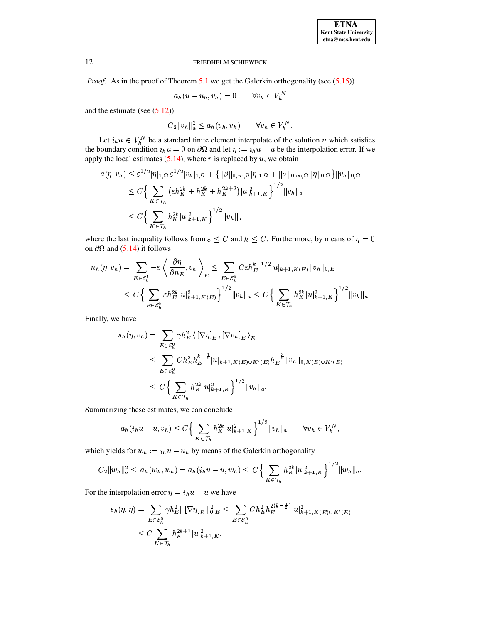*Proof.* As in the proof of Theorem  $5.1$  we get the Galerkin orthogonality (see  $(5.15)$ )

$$
a_h(u - u_h, v_h) = 0 \qquad \forall v_h \in V_h^N
$$

and the estimate (see  $(5.12)$ )

$$
C_2 ||v_h||_a^2 \le a_h(v_h, v_h) \qquad \forall v_h \in V_h^N.
$$

Let  $i_h u \in V_h^N$  be a standard finite element interpolate of the solution u which satisfies<br>the boundary condition  $i_h u = 0$  on  $\partial\Omega$  and let  $\eta := i_h u - u$  be the interpolation error. If we apply the local estimates  $(5.14)$ , where r is replaced by u, we obtain

$$
a(\eta, v_h) \leq \varepsilon^{1/2} |\eta|_{1,\Omega} \varepsilon^{1/2} |v_h|_{1,\Omega} + \left\{ ||\beta||_{0,\infty,\Omega} |\eta|_{1,\Omega} + ||\sigma||_{0,\infty,\Omega} ||\eta||_{0,\Omega} \right\} ||v_h||_{0,\Omega}
$$
  
\n
$$
\leq C \Big\{ \sum_{K \in \mathcal{T}_h} \left( \varepsilon h_K^{2k} + h_K^{2k} + h_K^{2k+2} \right) |u|_{k+1,K}^2 \Big\}^{1/2} ||v_h||_a
$$
  
\n
$$
\leq C \Big\{ \sum_{K \in \mathcal{T}_h} h_K^{2k} |u|_{k+1,K}^2 \Big\}^{1/2} ||v_h||_a,
$$

where the last inequality follows from  $\varepsilon \leq C$  and  $h \leq C$ . Furthermore, by means of  $\eta = 0$ on  $\partial\Omega$  and (5.14) it follows

$$
n_h(\eta, v_h) = \sum_{E \in \mathcal{E}_h^b} -\varepsilon \left\langle \frac{\partial \eta}{\partial n_E}, v_h \right\rangle_E \le \sum_{E \in \mathcal{E}_h^b} C \varepsilon h_E^{k-1/2} |u|_{k+1, K(E)} \|v_h\|_{0, E}
$$
  

$$
\le C \left\{ \sum_{E \in \mathcal{E}_h^b} \varepsilon h_E^{2k} |u|_{k+1, K(E)}^2 \right\}^{1/2} \|v_h\|_a \le C \left\{ \sum_{K \in \mathcal{T}_h} h_K^{2k} |u|_{k+1, K}^2 \right\}^{1/2} \|v_h\|_a.
$$

Finally, we have

$$
s_h(\eta, v_h) = \sum_{E \in \mathcal{E}_h^0} \gamma h_E^2 \left\{ \left[ \nabla \eta \right]_E, \left[ \nabla v_h \right]_E \right\}_E
$$
  
\n
$$
\leq \sum_{E \in \mathcal{E}_h^0} C h_E^2 h_E^{k - \frac{1}{2}} |u|_{k+1, K(E) \cup K'(E)} h_E^{-\frac{3}{2}} ||v_h||_{0, K(E) \cup K'(E)}
$$
  
\n
$$
\leq C \Big\{ \sum_{K \in \mathcal{T}_h} h_K^{2k} |u|_{k+1, K}^2 \Big\}^{1/2} ||v_h||_a.
$$

Summarizing these estimates, we can conclude

$$
a_h(i_h u - u, v_h) \le C \Big\{ \sum_{K \in \mathcal{T}_h} h_K^{2k} |u|_{k+1,K}^2 \Big\}^{1/2} ||v_h||_a \qquad \forall v_h \in V_h^N,
$$

which yields for  $w_h := i_h u - u_h$  by means of the Galerkin orthogonality

$$
C_2||w_h||_a^2 \leq a_h(w_h, w_h) = a_h(i_hu - u, w_h) \leq C \Big\{\sum_{K \in \mathcal{T}_h} h_K^{2k} |u|_{k+1,K}^2\Big\}^{1/2} ||w_h||_a.
$$

For the interpolation error  $\eta = i_h u - u$  we have

$$
s_h(\eta, \eta) = \sum_{E \in \mathcal{E}_h^0} \gamma h_E^2 \|\nabla \eta|_E \|\nabla \eta|_E \leq \sum_{E \in \mathcal{E}_h^0} C h_E^2 h_E^{2(k - \frac{1}{2})} |u|_{k+1, K(E) \cup K'(E)}^2
$$
  

$$
\leq C \sum_{K \in \mathcal{T}_h} h_K^{2k+1} |u|_{k+1, K}^2,
$$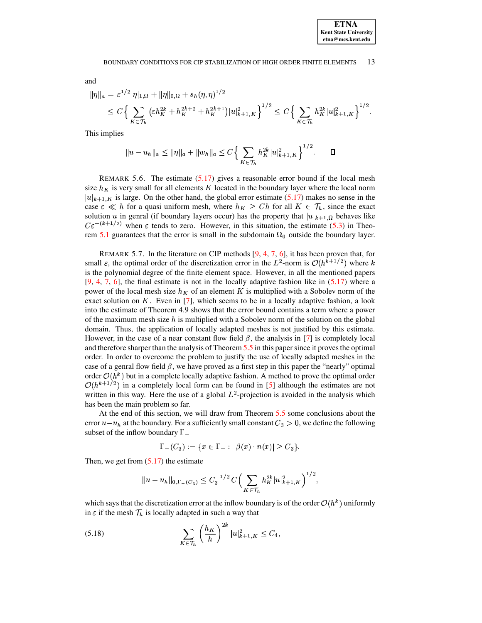#### BOUNDARY CONDITIONS FOR CIP STABILIZATION OF HIGH ORDER FINITE ELEMENTS 13

and

$$
\begin{aligned} \|\eta\|_{a} &= \varepsilon^{1/2} |\eta|_{1,\Omega} + \|\eta\|_{0,\Omega} + s_h(\eta,\eta)^{1/2} \\ &\leq C \Big\{ \sum_{K \in \mathcal{T}_h} \left( \varepsilon h_K^{2k} + h_K^{2k+2} + h_K^{2k+1} \right) |u|_{k+1,K}^2 \Big\}^{1/2} \leq C \Big\{ \sum_{K \in \mathcal{T}_h} h_K^{2k} |u|_{k+1,K}^2 \Big\}^{1/2} .\end{aligned}
$$

This implies

$$
|u - u_h||_a \le ||\eta||_a + ||w_h||_a \le C \Big\{ \sum_{K \in \mathcal{T}_h} h_K^{2k} |u|_{k+1,K}^2 \Big\}^{1/2}.
$$

REMARK 5.6. The estimate  $(5.17)$  gives a reasonable error bound if the local mesh size  $h<sub>K</sub>$  is very small for all elements K located in the boundary layer where the local norm  $|u|_{k+1,K}$  is large. On the other hand, the global error estimate (5.17) makes no sense in the case  $\varepsilon \ll h$  for a quasi uniform mesh, where  $h_K \geq Ch$  for all  $K \in \mathcal{T}_h$ , since the exact solution u in genral (if boundary layers occur) has the property that  $|u|_{k+1,\Omega}$  behaves like  $C\varepsilon^{-(k+1/2)}$  when  $\varepsilon$  tends to zero. However, in this situation, the estimate (5.3) in Theorem 5.1 guarantees that the error is small in the subdomain  $\Omega_0$  outside the boundary layer.

REMARK 5.7. In the literature on CIP methods  $[9, 4, 7, 6]$ , it has been proven that, for small  $\varepsilon$ , the optimal order of the discretization error in the  $L^2$ -norm is  $O(h^{k+1/2})$  where k is the polynomial degree of the finite element space. However, in all the mentioned papers  $[9, 4, 7, 6]$ , the final estimate is not in the locally adaptive fashion like in  $(5.17)$  where a power of the local mesh size  $h<sub>K</sub>$  of an element K is multiplied with a Sobolev norm of the exact solution on  $K$ . Even in [7], which seems to be in a locally adaptive fashion, a look into the estimate of Theorem 4.9 shows that the error bound contains a term where a power of the maximum mesh size  $h$  is multiplied with a Sobolev norm of the solution on the global domain. Thus, the application of locally adapted meshes is not justified by this estimate. However, in the case of a near constant flow field  $\beta$ , the analysis in [7] is completely local and therefore sharper than the analysis of Theorem 5.5 in this paper since it proves the optimal order. In order to overcome the problem to justify the use of locally adapted meshes in the case of a genral flow field  $\beta$ , we have proved as a first step in this paper the "nearly" optimal order  $O(h^k)$  but in a complete locally adaptive fashion. A method to prove the optimal order  $\mathcal{O}(h^{k+1/2})$  in a completely local form can be found in [5] although the estimates are not written in this way. Here the use of a global  $L^2$ -projection is avoided in the analysis which has been the main problem so far.

At the end of this section, we will draw from Theorem 5.5 some conclusions about the error  $u - u_h$  at the boundary. For a sufficiently small constant  $C_3 > 0$ , we define the following subset of the inflow boundary  $\Gamma$ 

$$
\Gamma_{-}(C_3) := \{ x \in \Gamma_{-} : |\beta(x) \cdot n(x)| \ge C_3 \}.
$$

Then, we get from  $(5.17)$  the estimate

<span id="page-12-0"></span>
$$
||u - u_h||_{0,\Gamma_-(C_3)} \leq C_3^{-1/2} C \Big( \sum_{K \in \mathcal{T}_h} h_K^{2k} |u|_{k+1,K}^2 \Big)^{1/2},
$$

which says that the discretization error at the inflow boundary is of the order  $O(h<sup>k</sup>)$  uniformly in  $\varepsilon$  if the mesh  $\mathcal{T}_h$  is locally adapted in such a way that

(5.18) 
$$
\sum_{K \in \mathcal{T}_h} \left(\frac{h_K}{h}\right)^{2k} |u|^2_{k+1,K} \leq C_4,
$$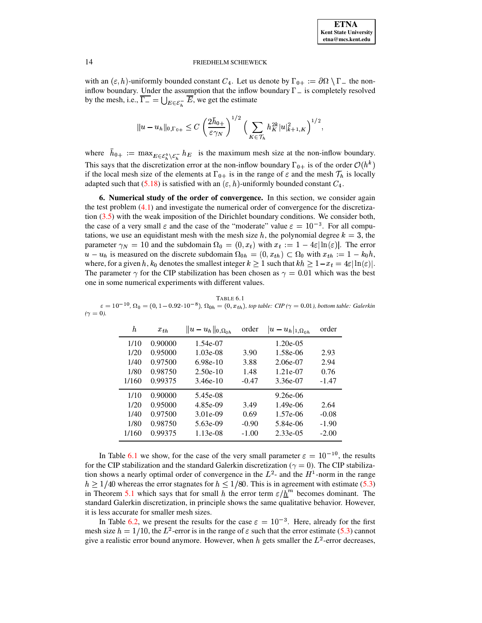

with an  $(\varepsilon, h)$ -uniformly bounded constant  $C_4$ . Let us denote by  $\Gamma_{0+} := \partial \Omega \setminus \Gamma$  the noninflow boundary. Under the assumption that the inflow boundary  $\Gamma$  is completely resolved by the mesh, i.e.,  $\overline{\Gamma_{-}} = \bigcup_{E \in \mathcal{E}^{-}} \overline{E}$ , we get the estimate

$$
||u - u_h||_{0,\Gamma_{0+}} \leq C \left(\frac{2\bar{h}_{0+}}{\varepsilon \gamma_N}\right)^{1/2} \Big(\sum_{K \in \mathcal{T}_h} h_K^{2k} |u|_{k+1,K}^2\Big)^{1/2},
$$

where  $\bar{h}_{0+} := \max_{E \in \mathcal{E}_h^b \setminus \mathcal{E}_h^-} h_E$  is the maximum mesh size at the non-inflow boundary. This says that the discretization error at the non-inflow boundary  $\Gamma_{0+}$  is of the order  $\mathcal{O}(h^k)$ if the local mesh size of the elements at  $\Gamma_{0+}$  is in the range of  $\varepsilon$  and the mesh  $\mathcal{T}_h$  is locally adapted such that (5.18) is satisfied with an  $(\varepsilon, h)$ -uniformly bounded constant  $C_4$ .

<span id="page-13-0"></span>6. Numerical study of the order of convergence. In this section, we consider again the test problem  $(4.1)$  and investigate the numerical order of convergence for the discretization  $(3.5)$  with the weak imposition of the Dirichlet boundary conditions. We consider both, the case of a very small  $\varepsilon$  and the case of the "moderate" value  $\varepsilon = 10^{-3}$ . For all computations, we use an equidistant mesh with the mesh size h, the polynomial degree  $k = 3$ , the parameter  $\gamma_N = 10$  and the subdomain  $\Omega_0 = (0, x_t)$  with  $x_t := 1 - 4\varepsilon |\ln(\varepsilon)|$ . The error  $u - u_h$  is measured on the discrete subdomain  $\Omega_{0h} = (0, x_{th}) \subset \Omega_0$  with  $x_{th} := 1 - k_0 h$ , where, for a given h,  $k_0$  denotes the smallest integer  $k \ge 1$  such that  $kh \ge 1-x_t = 4\varepsilon |\ln(\varepsilon)|$ . The parameter  $\gamma$  for the CIP stabilization has been chosen as  $\gamma = 0.01$  which was the best one in some numerical experiments with different values.

| h.    | $x_{th}$ | $  u - u_h  _{0, \Omega_{0h}}$ | order   | $u -$<br>$u_h _{1,\Omega_{0,h}}$ | order   |
|-------|----------|--------------------------------|---------|----------------------------------|---------|
| 1/10  | 0.90000  | 1.54e-07                       |         | $1.20e-0.5$                      |         |
| 1/20  | 0.95000  | $1.03e-08$                     | 3.90    | 1.58e-06                         | 2.93    |
| 1/40  | 0.97500  | $6.98e-10$                     | 3.88    | 2.06e-07                         | 2.94    |
| 1/80  | 0.98750  | $2.50e-10$                     | 1.48    | 1.21e-07                         | 0.76    |
| 1/160 | 0.99375  | $3.46e-10$                     | $-0.47$ | 3.36e-07                         | $-1.47$ |
| 1/10  | 0.90000  | 5.45e-08                       |         | $9.26e-06$                       |         |
| 1/20  | 0.95000  | 4.85e-09                       | 3.49    | $1.49e-06$                       | 2.64    |
| 1/40  | 0.97500  | $3.01e-09$                     | 0.69    | 1.57e-06                         | $-0.08$ |
| 1/80  | 0.98750  | 5.63e-09                       | $-0.90$ | 5.84e-06                         | $-1.90$ |
| 1/160 | 0.99375  | $1.13e-08$                     | $-1.00$ | $2.33e-0.5$                      | $-2.00$ |

<span id="page-13-1"></span>

|                | TABLE 6. L                                                                                                                                                     |
|----------------|----------------------------------------------------------------------------------------------------------------------------------------------------------------|
|                | $\varepsilon = 10^{-10}$ , $\Omega_0 = (0, 1 - 0.92 \cdot 10^{-8})$ , $\Omega_{0h} = (0, x_{th})$ , top table: CIP ( $\gamma = 0.01$ ), bottom table: Galerkin |
| $(\gamma=0)$ . |                                                                                                                                                                |

In Table 6.1 we show, for the case of the very small parameter  $\varepsilon = 10^{-10}$ , the results for the CIP stabilization and the standard Galerkin discretization ( $\gamma = 0$ ). The CIP stabilization shows a nearly optimal order of convergence in the  $L^2$ - and the  $H^1$ -norm in the range  $h \ge 1/40$  whereas the error stagnates for  $h \le 1/80$ . This is in agreement with estimate (5.3) in Theorem 5.1 which says that for small h the error term  $\varepsilon / \underline{h}^m$  becomes dominant. The standard Galerkin discretization, in principle shows the same qualitative behavior. However, it is less accurate for smaller mesh sizes.

In Table 6.2, we present the results for the case  $\varepsilon = 10^{-3}$ . Here, already for the first mesh size  $h = 1/10$ , the  $L^2$ -error is in the range of  $\varepsilon$  such that the error estimate (5.3) cannot give a realistic error bound anymore. However, when h gets smaller the  $L^2$ -error decreases,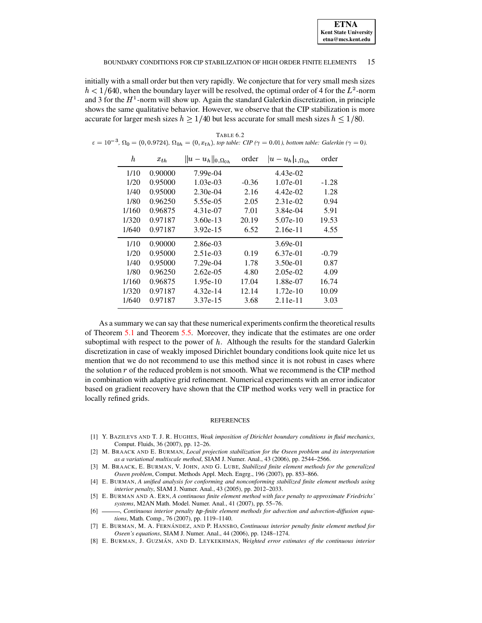initially with a small order but then very rapidly. We conjecture that for very small mesh sizes  $h < 1/640$ , when the boundary layer will be resolved, the optimal order of 4 for the  $L^2$ -norm and 3 for the  $H^1$ -norm will show up. Again the standard Galerkin discretization, in principle shows the same qualitative behavior. However, we observe that the CIP stabilization is more accurate for larger mesh sizes  $h \ge 1/40$  but less accurate for small mesh sizes  $h \le 1/80$ .

| h     | $x_{th}$ | $  u-u_h  _{0,\Omega_{0,h}}$ | order   | $ u-u_h _{1,\Omega_{0h}}$ | order   |
|-------|----------|------------------------------|---------|---------------------------|---------|
| 1/10  | 0.90000  | 7.99e-04                     |         | 4.43e-02                  |         |
| 1/20  | 0.95000  | 1.03e-03                     | $-0.36$ | 1.07e-01                  | $-1.28$ |
| 1/40  | 0.95000  | $2.30e-04$                   | 2.16    | 4.42e-02                  | 1.28    |
| 1/80  | 0.96250  | 5.55e-05                     | 2.05    | 2.31e-02                  | 0.94    |
| 1/160 | 0.96875  | 4.31e-07                     | 7.01    | 3.84e-04                  | 5.91    |
| 1/320 | 0.97187  | $3.60e-13$                   | 20.19   | 5.07e-10                  | 19.53   |
| 1/640 | 0.97187  | $3.92e-15$                   | 6.52    | $2.16e-11$                | 4.55    |
| 1/10  | 0.90000  | 2.86e-03                     |         | $3.69e-01$                |         |
| 1/20  | 0.95000  | 2.51e-03                     | 0.19    | 6.37e-01                  | $-0.79$ |
| 1/40  | 0.95000  | 7.29e-04                     | 1.78    | 3.50e-01                  | 0.87    |
| 1/80  | 0.96250  | $2.62e-0.5$                  | 4.80    | $2.05e-02$                | 4.09    |
| 1/160 | 0.96875  | $1.95e-10$                   | 17.04   | 1.88e-07                  | 16.74   |
| 1/320 | 0.97187  | 4.32e-14                     | 12.14   | $1.72e-10$                | 10.09   |
| 1/640 | 0.97187  | 3.37e-15                     | 3.68    | $2.11e-11$                | 3.03    |

<span id="page-14-8"></span>TABLE 6.2  $\varepsilon = 10^{-3}$ ,  $\Omega_0 = (0, 0.9724)$ ,  $\Omega_{0h} = (0, x_{th})$ , top table: CIP ( $\gamma = 0.01$ ), bottom table: Galerkin ( $\gamma = 0$ ).

As a summary we can say that these numerical experiments confirm the theoretical results of Theorem 5.1 and Theorem 5.5. Moreover, they indicate that the estimates are one order suboptimal with respect to the power of  $h$ . Although the results for the standard Galerkin discretization in case of weakly imposed Dirichlet boundary conditions look quite nice let us mention that we do not recommend to use this method since it is not robust in cases where the solution  $r$  of the reduced problem is not smooth. What we recommend is the CIP method in combination with adaptive grid refinement. Numerical experiments with an error indicator based on gradient recovery have shown that the CIP method works very well in practice for locally refined grids.

#### **REFERENCES**

- <span id="page-14-5"></span>[1] Y. BAZILEVS AND T. J. R. HUGHES, Weak imposition of Dirichlet boundary conditions in fluid mechanics, Comput. Fluids, 36 (2007), pp. 12-26.
- <span id="page-14-1"></span>[2] M. BRAACK AND E. BURMAN, Local projection stabilization for the Oseen problem and its interpretation as a variational multiscale method, SIAM J. Numer. Anal., 43 (2006), pp. 2544-2566.
- <span id="page-14-2"></span>[3] M. BRAACK, E. BURMAN, V. JOHN, AND G. LUBE, Stabilized finite element methods for the generalized Oseen problem, Comput. Methods Appl. Mech. Engrg., 196 (2007), pp. 853-866.
- <span id="page-14-3"></span>[4] E. BURMAN, A unified analysis for conforming and nonconforming stabilized finite element methods using interior penalty, SIAM J. Numer. Anal., 43 (2005), pp. 2012-2033.
- <span id="page-14-7"></span>[5] E. BURMAN AND A. ERN, A continuous finite element method with face penalty to approximate Friedrichs' systems, M2AN Math. Model. Numer. Anal., 41 (2007), pp. 55-76.
- <span id="page-14-4"></span>-, Continuous interior penalty hp-finite element methods for advection and advection-diffusion equa- $[6]$  – tions, Math. Comp., 76 (2007), pp. 1119-1140.
- <span id="page-14-0"></span>[7] E. BURMAN, M. A. FERNÁNDEZ, AND P. HANSBO, Continuous interior penalty finite element method for Oseen's equations, SIAM J. Numer. Anal., 44 (2006), pp. 1248-1274.
- <span id="page-14-6"></span>[8] E. BURMAN, J. GUZMÁN, AND D. LEYKEKHMAN, Weighted error estimates of the continuous interior